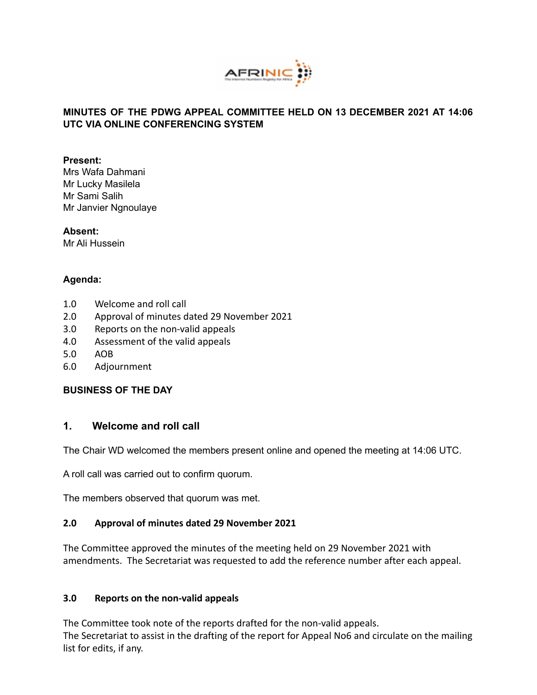

# **MINUTES OF THE PDWG APPEAL COMMITTEE HELD ON 13 DECEMBER 2021 AT 14:06 UTC VIA ONLINE CONFERENCING SYSTEM**

#### **Present:**

Mrs Wafa Dahmani Mr Lucky Masilela Mr Sami Salih Mr Janvier Ngnoulaye

**Absent:** Mr Ali Hussein

## **Agenda:**

- 1.0 Welcome and roll call
- 2.0 Approval of minutes dated 29 November 2021
- 3.0 Reports on the non-valid appeals
- 4.0 Assessment of the valid appeals
- 5.0 AOB
- 6.0 Adjournment

## **BUSINESS OF THE DAY**

# **1. Welcome and roll call**

The Chair WD welcomed the members present online and opened the meeting at 14:06 UTC.

A roll call was carried out to confirm quorum.

The members observed that quorum was met.

## **2.0 Approval of minutes dated 29 November 2021**

The Committee approved the minutes of the meeting held on 29 November 2021 with amendments. The Secretariat was requested to add the reference number after each appeal.

#### **3.0 Reports on the non-valid appeals**

The Committee took note of the reports drafted for the non-valid appeals. The Secretariat to assist in the drafting of the report for Appeal No6 and circulate on the mailing list for edits, if any.